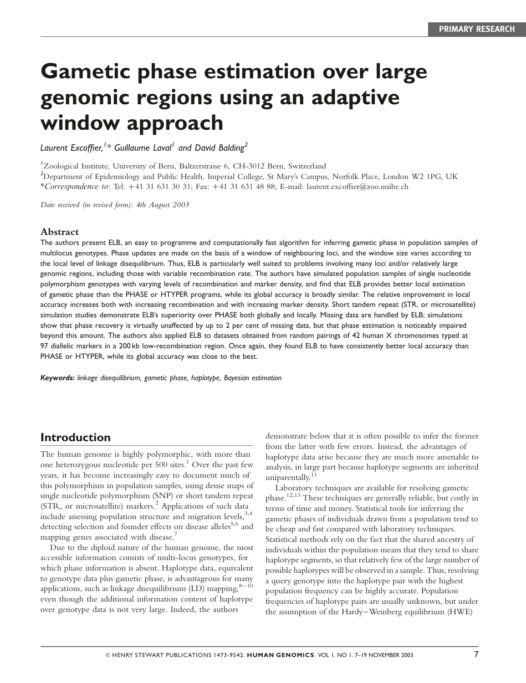# Gametic phase estimation over large genomic regions using an adaptive window approach

Laurent Excoffier, $^{\prime\,*}$  Guillaume Laval $^{\prime}$  and David Balding $^2$ 

1 Zoological Institute, University of Bern, Baltzerstrasse 6, CH-3012 Bern, Switzerland

<sup>2</sup>Department of Epidemiology and Public Health, Imperial College, St Mary's Campus, Norfolk Place, London W2 1PG, UK \*Correspondence to: Tel:  $+41$  31 631 30 31; Fax:  $+41$  31 631 48 88; E-mail: laurent.excoffier@zoo.unibe.ch

Date received (in revised form): 4th August 2003

#### Abstract

The authors present ELB, an easy to programme and computationally fast algorithm for inferring gametic phase in population samples of multilocus genotypes. Phase updates are made on the basis of a window of neighbouring loci, and the window size varies according to the local level of linkage disequilibrium. Thus, ELB is particularly well suited to problems involving many loci and/or relatively large genomic regions, including those with variable recombination rate. The authors have simulated population samples of single nucleotide polymorphism genotypes with varying levels of recombination and marker density, and find that ELB provides better local estimation of gametic phase than the PHASE or HTYPER programs, while its global accuracy is broadly similar. The relative improvement in local accuracy increases both with increasing recombination and with increasing marker density. Short tandem repeat (STR, or microsatellite) simulation studies demonstrate ELB's superiority over PHASE both globally and locally. Missing data are handled by ELB; simulations show that phase recovery is virtually unaffected by up to 2 per cent of missing data, but that phase estimation is noticeably impaired beyond this amount. The authors also applied ELB to datasets obtained from random pairings of 42 human X chromosomes typed at 97 diallelic markers in a 200 kb low-recombination region. Once again, they found ELB to have consistently better local accuracy than PHASE or HTYPER, while its global accuracy was close to the best.

Keywords: linkage disequilibrium, gametic phase, haplotype, Bayesian estimation

# Introduction

The human genome is highly polymorphic, with more than one heterozygous nucleotide per  $500$  sites.<sup>1</sup> Over the past few years, it has become increasingly easy to document much of this polymorphism in population samples, using dense maps of single nucleotide polymorphism (SNP) or short tandem repeat (STR, or microsatellite) markers.<sup>2</sup> Applications of such data include assessing population structure and migration levels,  $3,4$ detecting selection and founder effects on disease alleles<sup>5,6</sup> and mapping genes associated with disease.<sup>7</sup>

Due to the diploid nature of the human genome, the most accessible information consists of multi-locus genotypes, for which phase information is absent. Haplotype data, equivalent to genotype data plus gametic phase, is advantageous for many applications, such as linkage disequilibrium (LD) mapping,  $8-10$ even though the additional information content of haplotype over genotype data is not very large. Indeed, the authors

demonstrate below that it is often possible to infer the former from the latter with few errors. Instead, the advantages of haplotype data arise because they are much more amenable to analysis, in large part because haplotype segments are inherited uniparentally.<sup>11</sup>

Laboratory techniques are available for resolving gametic phase.12,13 These techniques are generally reliable, but costly in terms of time and money. Statistical tools for inferring the gametic phases of individuals drawn from a population tend to be cheap and fast compared with laboratory techniques. Statistical methods rely on the fact that the shared ancestry of individuals within the population means that they tend to share haplotype segments, so that relatively few of the large number of possible haplotypes will be observed in a sample. Thus, resolving a query genotype into the haplotype pair with the highest population frequency can be highly accurate. Population frequencies of haplotype pairs are usually unknown, but under the assumption of the Hardy–Weinberg equilibrium (HWE)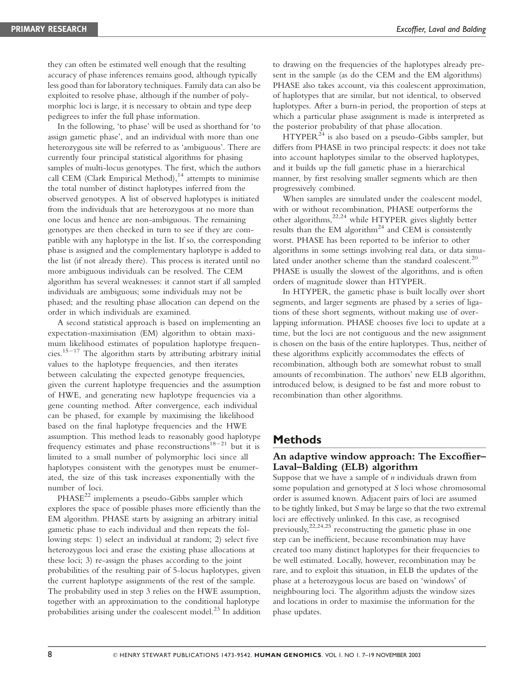they can often be estimated well enough that the resulting accuracy of phase inferences remains good, although typically less good than for laboratory techniques. Family data can also be exploited to resolve phase, although if the number of polymorphic loci is large, it is necessary to obtain and type deep pedigrees to infer the full phase information.

In the following, 'to phase' will be used as shorthand for 'to assign gametic phase', and an individual with more than one heterozygous site will be referred to as 'ambiguous'. There are currently four principal statistical algorithms for phasing samples of multi-locus genotypes. The first, which the authors call CEM (Clark Empirical Method), $14$  attempts to minimise the total number of distinct haplotypes inferred from the observed genotypes. A list of observed haplotypes is initiated from the individuals that are heterozygous at no more than one locus and hence are non-ambiguous. The remaining genotypes are then checked in turn to see if they are compatible with any haplotype in the list. If so, the corresponding phase is assigned and the complementary haplotype is added to the list (if not already there). This process is iterated until no more ambiguous individuals can be resolved. The CEM algorithm has several weaknesses: it cannot start if all sampled individuals are ambiguous; some individuals may not be phased; and the resulting phase allocation can depend on the order in which individuals are examined.

A second statistical approach is based on implementing an expectation-maximisation (EM) algorithm to obtain maximum likelihood estimates of population haplotype frequencies.<sup>15–17</sup> The algorithm starts by attributing arbitrary initial values to the haplotype frequencies, and then iterates between calculating the expected genotype frequencies, given the current haplotype frequencies and the assumption of HWE, and generating new haplotype frequencies via a gene counting method. After convergence, each individual can be phased, for example by maximising the likelihood based on the final haplotype frequencies and the HWE assumption. This method leads to reasonably good haplotype frequency estimates and phase reconstructions<sup>18–21</sup> but it is limited to a small number of polymorphic loci since all haplotypes consistent with the genotypes must be enumerated, the size of this task increases exponentially with the number of loci.

 $PHASE^{22}$  implements a pseudo-Gibbs sampler which explores the space of possible phases more efficiently than the EM algorithm. PHASE starts by assigning an arbitrary initial gametic phase to each individual and then repeats the following steps: 1) select an individual at random; 2) select five heterozygous loci and erase the existing phase allocations at these loci; 3) re-assign the phases according to the joint probabilities of the resulting pair of 5-locus haplotypes, given the current haplotype assignments of the rest of the sample. The probability used in step 3 relies on the HWE assumption, together with an approximation to the conditional haplotype probabilities arising under the coalescent model.<sup>23</sup> In addition to drawing on the frequencies of the haplotypes already present in the sample (as do the CEM and the EM algorithms) PHASE also takes account, via this coalescent approximation, of haplotypes that are similar, but not identical, to observed haplotypes. After a burn-in period, the proportion of steps at which a particular phase assignment is made is interpreted as the posterior probability of that phase allocation.

 $HTYPER<sup>24</sup>$  is also based on a pseudo-Gibbs sampler, but differs from PHASE in two principal respects: it does not take into account haplotypes similar to the observed haplotypes, and it builds up the full gametic phase in a hierarchical manner, by first resolving smaller segments which are then progressively combined.

When samples are simulated under the coalescent model, with or without recombination, PHASE outperforms the other algorithms,<sup>22,24</sup> while HTYPER gives slightly better results than the EM algorithm<sup>24</sup> and CEM is consistently worst. PHASE has been reported to be inferior to other algorithms in some settings involving real data, or data simulated under another scheme than the standard coalescent.<sup>20</sup> PHASE is usually the slowest of the algorithms, and is often orders of magnitude slower than HTYPER.

In HTYPER, the gametic phase is built locally over short segments, and larger segments are phased by a series of ligations of these short segments, without making use of overlapping information. PHASE chooses five loci to update at a time, but the loci are not contiguous and the new assignment is chosen on the basis of the entire haplotypes. Thus, neither of these algorithms explicitly accommodates the effects of recombination, although both are somewhat robust to small amounts of recombination. The authors' new ELB algorithm, introduced below, is designed to be fast and more robust to recombination than other algorithms.

# Methods

## An adaptive window approach: The Excoffier– Laval–Balding (ELB) algorithm

Suppose that we have a sample of  $n$  individuals drawn from some population and genotyped at S loci whose chromosomal order is assumed known. Adjacent pairs of loci are assumed to be tightly linked, but S may be large so that the two extremal loci are effectively unlinked. In this case, as recognised previously,  $22,24,25$  reconstructing the gametic phase in one step can be inefficient, because recombination may have created too many distinct haplotypes for their frequencies to be well estimated. Locally, however, recombination may be rare, and to exploit this situation, in ELB the updates of the phase at a heterozygous locus are based on 'windows' of neighbouring loci. The algorithm adjusts the window sizes and locations in order to maximise the information for the phase updates.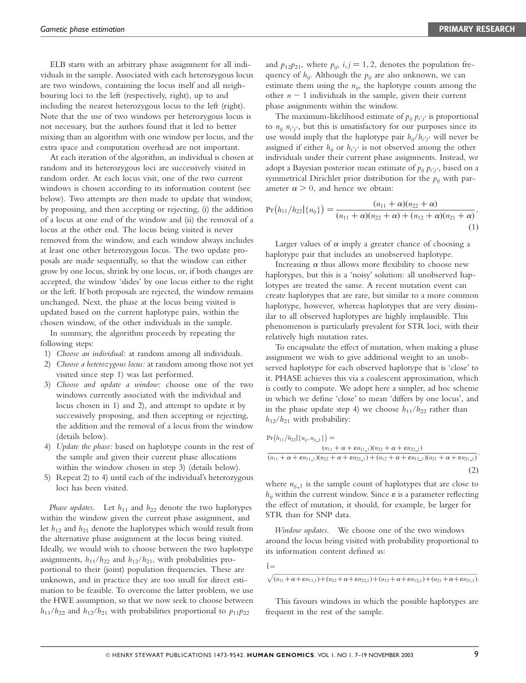ELB starts with an arbitrary phase assignment for all individuals in the sample. Associated with each heterozygous locus are two windows, containing the locus itself and all neighbouring loci to the left (respectively, right), up to and including the nearest heterozygous locus to the left (right). Note that the use of two windows per heterozygous locus is not necessary, but the authors found that it led to better mixing than an algorithm with one window per locus, and the extra space and computation overhead are not important.

At each iteration of the algorithm, an individual is chosen at random and its heterozygous loci are successively visited in random order. At each locus visit, one of the two current windows is chosen according to its information content (see below). Two attempts are then made to update that window, by proposing, and then accepting or rejecting, (i) the addition of a locus at one end of the window and (ii) the removal of a locus at the other end. The locus being visited is never removed from the window, and each window always includes at least one other heterozygous locus. The two update proposals are made sequentially, so that the window can either grow by one locus, shrink by one locus, or, if both changes are accepted, the window 'slides' by one locus either to the right or the left. If both proposals are rejected, the window remains unchanged. Next, the phase at the locus being visited is updated based on the current haplotype pairs, within the chosen window, of the other individuals in the sample.

In summary, the algorithm proceeds by repeating the following steps:

- 1) Choose an individual: at random among all individuals.
- 2) Choose a heterozygous locus: at random among those not yet visited since step 1) was last performed.
- 3) Choose and update a window: choose one of the two windows currently associated with the individual and locus chosen in 1) and 2), and attempt to update it by successively proposing, and then accepting or rejecting, the addition and the removal of a locus from the window (details below).
- 4) Update the phase: based on haplotype counts in the rest of the sample and given their current phase allocations within the window chosen in step 3) (details below).
- 5) Repeat 2) to 4) until each of the individual's heterozygous loci has been visited.

Phase updates. Let  $h_{11}$  and  $h_{22}$  denote the two haplotypes within the window given the current phase assignment, and let  $h_{12}$  and  $h_{21}$  denote the haplotypes which would result from the alternative phase assignment at the locus being visited. Ideally, we would wish to choose between the two haplotype assignments,  $h_{11}/h_{22}$  and  $h_{12}/h_{21}$ , with probabilities proportional to their (joint) population frequencies. These are unknown, and in practice they are too small for direct estimation to be feasible. To overcome the latter problem, we use the HWE assumption, so that we now seek to choose between  $h_{11}/h_{22}$  and  $h_{12}/h_{21}$  with probabilities proportional to  $p_{11}p_{22}$ 

and  $p_{12}p_{21}$ , where  $p_{ii}$ ,  $i, j = 1, 2$ , denotes the population frequency of  $h_{ij}$ . Although the  $p_{ij}$  are also unknown, we can estimate them using the  $n_{ii}$ , the haplotype counts among the other  $n - 1$  individuals in the sample, given their current phase assignments within the window.

The maximum-likelihood estimate of  $p_{ij}$   $p_{i'j'}$  is proportional to  $n_{ij}$   $n_{i'j'}$ , but this is unsatisfactory for our purposes since its use would imply that the haplotype pair  $h_{ij}/h_{i'j'}$  will never be assigned if either  $h_{ij}$  or  $h_{i'j'}$  is not observed among the other individuals under their current phase assignments. Instead, we adopt a Bayesian posterior mean estimate of  $p_{ij}$   $p_{i^{\prime }j^{\prime }},$  based on a symmetrical Dirichlet prior distribution for the  $p_{ij}$  with parameter  $\alpha > 0$ , and hence we obtain:

$$
\Pr(h_{11}/h_{22}|\{n_{ij}\}) = \frac{(n_{11}+\alpha)(n_{22}+\alpha)}{(n_{11}+\alpha)(n_{22}+\alpha)+(n_{12}+\alpha)(n_{21}+\alpha)}.
$$
\n(1)

Larger values of  $\alpha$  imply a greater chance of choosing a haplotype pair that includes an unobserved haplotype.

Increasing  $\alpha$  thus allows more flexibility to choose new haplotypes, but this is a 'noisy' solution: all unobserved haplotypes are treated the same. A recent mutation event can create haplotypes that are rare, but similar to a more common haplotype, however, whereas haplotypes that are very dissimilar to all observed haplotypes are highly implausible. This phenomenon is particularly prevalent for STR loci, with their relatively high mutation rates.

To encapsulate the effect of mutation, when making a phase assignment we wish to give additional weight to an unobserved haplotype for each observed haplotype that is 'close' to it. PHASE achieves this via a coalescent approximation, which is costly to compute. We adopt here a simpler, ad hoc scheme in which we define 'close' to mean 'differs by one locus', and in the phase update step 4) we choose  $h_{11}/h_{22}$  rather than  $h_{12}/h_{21}$  with probability:

$$
Pr(h_{11}/h_{22}|\{n_{ij}, n_{ij\perp}\}) =
$$
  
\n
$$
(n_{11} + \alpha + \varepsilon n_{11\perp})(n_{22} + \alpha + \varepsilon n_{22\perp})
$$
  
\n
$$
(n_{11} + \alpha + \varepsilon n_{11\perp})(n_{22} + \alpha + \varepsilon n_{22\perp}) + (n_{12} + \alpha + \varepsilon n_{12\perp})(n_{21} + \alpha + \varepsilon n_{21\perp})
$$
\n(2)

where  $n_{ij}$  is the sample count of haplotypes that are close to  $h_{ij}$  within the current window. Since  $\varepsilon$  is a parameter reflecting the effect of mutation, it should, for example, be larger for STR than for SNP data.

Window updates. We choose one of the two windows around the locus being visited with probability proportional to its information content defined as:

 $\hat{I}$ 

This favours windows in which the possible haplotypes are frequent in the rest of the sample.

 $\sqrt{(n_{11}+\alpha+\epsilon n_{11,1})+(n_{22}+\alpha+\epsilon n_{22,1})+(n_{12}+\alpha+\epsilon n_{12,1})+(n_{21}+\alpha+\epsilon n_{21,1})}.$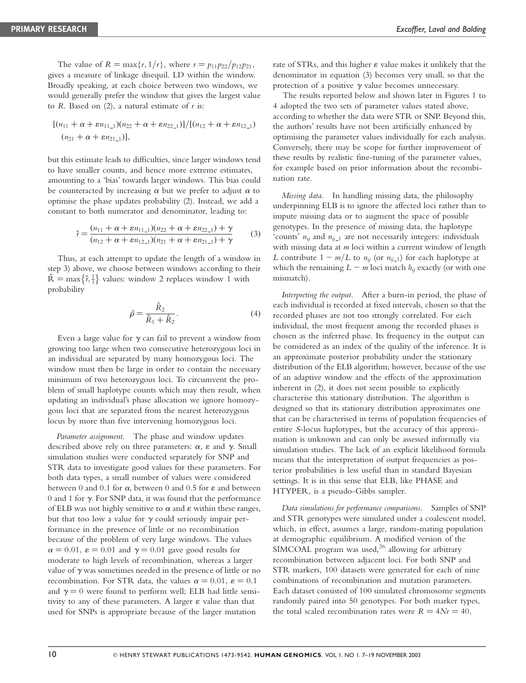The value of  $R = \max\{r, 1/r\}$ , where  $r = p_{11}p_{22}/p_{12}p_{21}$ , gives a measure of linkage disequil. LD within the window. Broadly speaking, at each choice between two windows, we would generally prefer the window that gives the largest value to R. Based on  $(2)$ , a natural estimate of r is:

$$
\frac{[(n_{11} + \alpha + \varepsilon n_{11-1})(n_{22} + \alpha + \varepsilon n_{22-1})]}{(n_{21} + \alpha + \varepsilon n_{21-1})},
$$

but this estimate leads to difficulties, since larger windows tend to have smaller counts, and hence more extreme estimates, amounting to a 'bias' towards larger windows. This bias could be counteracted by increasing  $\alpha$  but we prefer to adjust  $\alpha$  to optimise the phase updates probability (2). Instead, we add a constant to both numerator and denominator, leading to:

$$
\hat{r} = \frac{(n_{11} + \alpha + \varepsilon n_{11-1})(n_{22} + \alpha + \varepsilon n_{22-1}) + \gamma}{(n_{12} + \alpha + \varepsilon n_{12-1})(n_{21} + \alpha + \varepsilon n_{21-1}) + \gamma}
$$
(3)

Thus, at each attempt to update the length of a window in step 3) above, we choose between windows according to their  $\hat{R} = \max \{\hat{r}, \frac{1}{2}\}\$  values: window 2 replaces window 1 with probability

$$
\hat{\rho} = \frac{\hat{R}_2}{\hat{R}_1 + \hat{R}_2}.
$$
\n(4)

Even a large value for  $\gamma$  can fail to prevent a window from growing too large when two consecutive heterozygous loci in an individual are separated by many homozygous loci. The window must then be large in order to contain the necessary minimum of two heterozygous loci. To circumvent the problem of small haplotype counts which may then result, when updating an individual's phase allocation we ignore homozygous loci that are separated from the nearest heterozygous locus by more than five intervening homozygous loci.

Parameter assignment. The phase and window updates described above rely on three parameters:  $\alpha$ ,  $\varepsilon$  and  $\gamma$ . Small simulation studies were conducted separately for SNP and STR data to investigate good values for these parameters. For both data types, a small number of values were considered between 0 and 0.1 for  $\alpha$ , between 0 and 0.5 for  $\varepsilon$  and between 0 and 1 for  $\gamma$ . For SNP data, it was found that the performance of ELB was not highly sensitive to  $\alpha$  and  $\epsilon$  within these ranges, but that too low a value for  $\gamma$  could seriously impair performance in the presence of little or no recombination because of the problem of very large windows. The values  $\alpha = 0.01$ ,  $\varepsilon = 0.01$  and  $\gamma = 0.01$  gave good results for moderate to high levels of recombination, whereas a larger value of  $\gamma$  was sometimes needed in the presence of little or no recombination. For STR data, the values  $\alpha = 0.01$ ,  $\epsilon = 0.1$ and  $\gamma = 0$  were found to perform well; ELB had little sensitivity to any of these parameters. A larger  $\varepsilon$  value than that used for SNPs is appropriate because of the larger mutation

rate of STRs, and this higher  $\varepsilon$  value makes it unlikely that the denominator in equation (3) becomes very small, so that the protection of a positive  $\gamma$  value becomes unnecessary.

The results reported below and shown later in Figures 1 to 4 adopted the two sets of parameter values stated above, according to whether the data were STR or SNP. Beyond this, the authors' results have not been artificially enhanced by optimising the parameter values individually for each analysis. Conversely, there may be scope for further improvement of these results by realistic fine-tuning of the parameter values, for example based on prior information about the recombination rate.

Missing data. In handling missing data, the philosophy underpinning ELB is to ignore the affected loci rather than to impute missing data or to augment the space of possible genotypes. In the presence of missing data, the haplotype 'counts'  $n_{ij}$  and  $n_{ij-1}$  are not necessarily integers: individuals with missing data at *m* loci within a current window of length L contribute  $1 - m/L$  to  $n_{ij}$  (or  $n_{ij-1}$ ) for each haplotype at which the remaining  $L - m$  loci match  $h_{ij}$  exactly (or with one mismatch).

Interpreting the output. After a burn-in period, the phase of each individual is recorded at fixed intervals, chosen so that the recorded phases are not too strongly correlated. For each individual, the most frequent among the recorded phases is chosen as the inferred phase. Its frequency in the output can be considered as an index of the quality of the inference. It is an approximate posterior probability under the stationary distribution of the ELB algorithm; however, because of the use of an adaptive window and the effects of the approximation inherent in (2), it does not seem possible to explicitly characterise this stationary distribution. The algorithm is designed so that its stationary distribution approximates one that can be characterised in terms of population frequencies of entire S-locus haplotypes, but the accuracy of this approximation is unknown and can only be assessed informally via simulation studies. The lack of an explicit likelihood formula means that the interpretation of output frequencies as posterior probabilities is less useful than in standard Bayesian settings. It is in this sense that ELB, like PHASE and HTYPER, is a pseudo-Gibbs sampler.

Data simulations for performance comparisons. Samples of SNP and STR genotypes were simulated under a coalescent model, which, in effect, assumes a large, random-mating population at demographic equilibrium. A modified version of the SIMCOAL program was used, $^{26}$  allowing for arbitrary recombination between adjacent loci. For both SNP and STR markers, 100 datasets were generated for each of nine combinations of recombination and mutation parameters. Each dataset consisted of 100 simulated chromosome segments randomly paired into 50 genotypes. For both marker types, the total scaled recombination rates were  $R = 4Nr = 40$ ,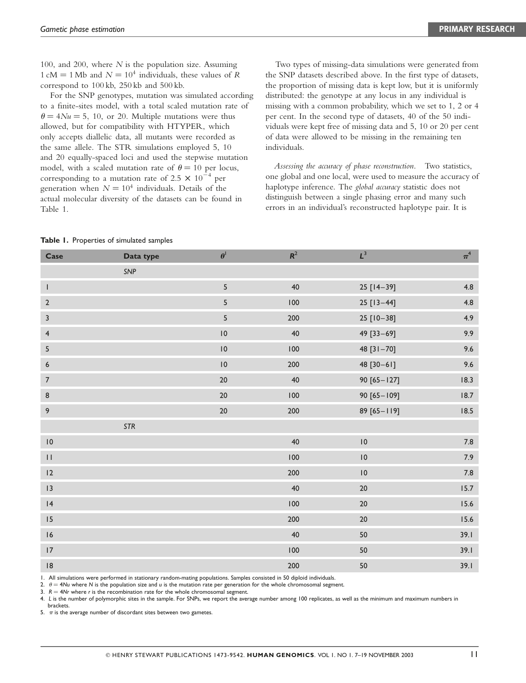100, and 200, where  $N$  is the population size. Assuming  $1 \text{ cM} = 1 \text{ Mb}$  and  $N = 10^4$  individuals, these values of R correspond to 100 kb, 250 kb and 500 kb.

For the SNP genotypes, mutation was simulated according to a finite-sites model, with a total scaled mutation rate of  $\theta = 4Nu = 5$ , 10, or 20. Multiple mutations were thus allowed, but for compatibility with HTYPER, which only accepts diallelic data, all mutants were recorded as the same allele. The STR simulations employed 5, 10 and 20 equally-spaced loci and used the stepwise mutation model, with a scaled mutation rate of  $\theta = 10$  per locus, corresponding to a mutation rate of 2.5  $\times$  10<sup>-4</sup> per generation when  $N = 10<sup>4</sup>$  individuals. Details of the actual molecular diversity of the datasets can be found in Table 1.

Two types of missing-data simulations were generated from the SNP datasets described above. In the first type of datasets, the proportion of missing data is kept low, but it is uniformly distributed: the genotype at any locus in any individual is missing with a common probability, which we set to 1, 2 or 4 per cent. In the second type of datasets, 40 of the 50 individuals were kept free of missing data and 5, 10 or 20 per cent of data were allowed to be missing in the remaining ten individuals.

Assessing the accuracy of phase reconstruction. Two statistics, one global and one local, were used to measure the accuracy of haplotype inference. The global accuracy statistic does not distinguish between a single phasing error and many such errors in an individual's reconstructed haplotype pair. It is

| Case                    | Data type | $\pmb{\theta}^{\text{I}}$ | $R^2$  | $L^3$              | $\pi^4$ |
|-------------------------|-----------|---------------------------|--------|--------------------|---------|
|                         | SNP       |                           |        |                    |         |
| $\mathsf I$             |           | 5 <sub>5</sub>            | 40     | 25 [14-39]         | 4.8     |
| $\mathbf 2$             |           | $5\overline{)}$           | 100    | $25$ [13-44]       | 4.8     |
| $\overline{\mathbf{3}}$ |           | $5\overline{)}$           | 200    | $25$ [10-38]       | 4.9     |
| $\overline{\mathbf{4}}$ |           | $\,$ l $\,$               | 40     | 49 [33-69]         | 9.9     |
| 5                       |           | $\,$ l $\,$               | 100    | 48 [31-70]         | 9.6     |
| $\boldsymbol{6}$        |           | $\,$ l $\,$               | 200    | 48 [30-61]         | 9.6     |
| $\overline{7}$          |           | $20\,$                    | 40     | 90 [65 - 127]      | 18.3    |
| $\bf 8$                 |           | $20\,$                    | 100    | 90 [65-109]        | 18.7    |
| 9                       |           | $20\,$                    | 200    | 89 [65-119]        | 18.5    |
|                         | STR       |                           |        |                    |         |
| $\,$ l $\,$             |           |                           | 40     | $\vert 0$          | $7.8\,$ |
| $\mathsf{H}$            |           |                           | 100    | $\,$ l $\,$ 0 $\,$ | 7.9     |
| 2                       |           |                           | 200    | $\overline{10}$    | $7.8\,$ |
| 3                       |           |                           | 40     | $20\,$             | 15.7    |
| 4                       |           |                           | 100    | $20\,$             | 15.6    |
| 15                      |           |                           | 200    | $20\,$             | 15.6    |
| $\sqrt{6}$              |           |                           | $40\,$ | 50                 | 39.1    |
| $\overline{17}$         |           |                           | 100    | 50                 | 39.1    |
| $\sqrt{8}$              |           |                           | 200    | 50                 | 39.1    |

Table 1. Properties of simulated samples

1. All simulations were performed in stationary random-mating populations. Samples consisted in 50 diploid individuals.

2.  $\theta = 4$ Nu where N is the population size and u is the mutation rate per generation for the whole chromosomal segment.

3.  $R = 4Nr$  where r is the recombination rate for the whole chromosomal segment.

4. L is the number of polymorphic sites in the sample. For SNPs, we report the average number among 100 replicates, as well as the minimum and maximum numbers in brackets.

5.  $\pi$  is the average number of discordant sites between two gametes.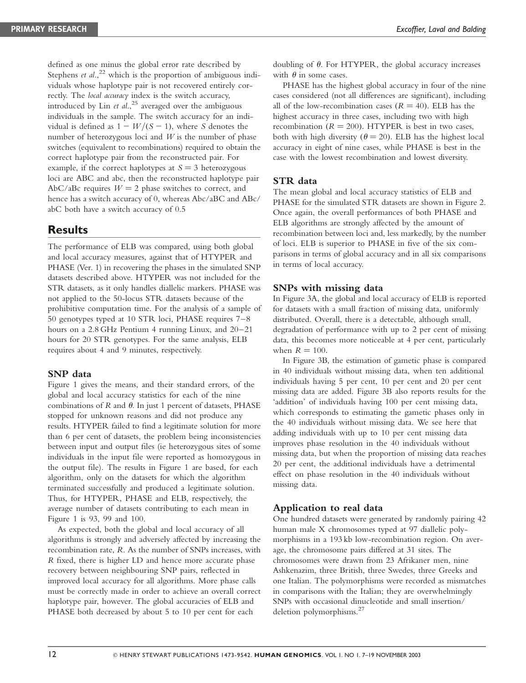defined as one minus the global error rate described by Stephens et al., $^{22}$  which is the proportion of ambiguous individuals whose haplotype pair is not recovered entirely correctly. The local accuracy index is the switch accuracy, introduced by Lin et al.,<sup>25</sup> averaged over the ambiguous individuals in the sample. The switch accuracy for an individual is defined as  $1 - W/(S - 1)$ , where S denotes the number of heterozygous loci and  $W$  is the number of phase switches (equivalent to recombinations) required to obtain the correct haplotype pair from the reconstructed pair. For example, if the correct haplotypes at  $S = 3$  heterozygous loci are ABC and abc, then the reconstructed haplotype pair AbC/aBc requires  $W = 2$  phase switches to correct, and hence has a switch accuracy of 0, whereas Abc/aBC and ABc/ abC both have a switch accuracy of 0.5

# **Results**

The performance of ELB was compared, using both global and local accuracy measures, against that of HTYPER and PHASE (Ver. 1) in recovering the phases in the simulated SNP datasets described above. HTYPER was not included for the STR datasets, as it only handles diallelic markers. PHASE was not applied to the 50-locus STR datasets because of the prohibitive computation time. For the analysis of a sample of 50 genotypes typed at 10 STR loci, PHASE requires 7–8 hours on a 2.8 GHz Pentium 4 running Linux, and 20–21 hours for 20 STR genotypes. For the same analysis, ELB requires about 4 and 9 minutes, respectively.

## SNP data

Figure 1 gives the means, and their standard errors, of the global and local accuracy statistics for each of the nine combinations of R and  $\theta$ . In just 1 percent of datasets, PHASE stopped for unknown reasons and did not produce any results. HTYPER failed to find a legitimate solution for more than 6 per cent of datasets, the problem being inconsistencies between input and output files (ie heterozygous sites of some individuals in the input file were reported as homozygous in the output file). The results in Figure 1 are based, for each algorithm, only on the datasets for which the algorithm terminated successfully and produced a legitimate solution. Thus, for HTYPER, PHASE and ELB, respectively, the average number of datasets contributing to each mean in Figure 1 is 93, 99 and 100.

As expected, both the global and local accuracy of all algorithms is strongly and adversely affected by increasing the recombination rate, R. As the number of SNPs increases, with R fixed, there is higher LD and hence more accurate phase recovery between neighbouring SNP pairs, reflected in improved local accuracy for all algorithms. More phase calls must be correctly made in order to achieve an overall correct haplotype pair, however. The global accuracies of ELB and PHASE both decreased by about 5 to 10 per cent for each

doubling of  $\theta$ . For HTYPER, the global accuracy increases with  $\theta$  in some cases.

PHASE has the highest global accuracy in four of the nine cases considered (not all differences are significant), including all of the low-recombination cases  $(R = 40)$ . ELB has the highest accuracy in three cases, including two with high recombination ( $R = 200$ ). HTYPER is best in two cases, both with high diversity ( $\theta = 20$ ). ELB has the highest local accuracy in eight of nine cases, while PHASE is best in the case with the lowest recombination and lowest diversity.

## STR data

The mean global and local accuracy statistics of ELB and PHASE for the simulated STR datasets are shown in Figure 2. Once again, the overall performances of both PHASE and ELB algorithms are strongly affected by the amount of recombination between loci and, less markedly, by the number of loci. ELB is superior to PHASE in five of the six comparisons in terms of global accuracy and in all six comparisons in terms of local accuracy.

### SNPs with missing data

In Figure 3A, the global and local accuracy of ELB is reported for datasets with a small fraction of missing data, uniformly distributed. Overall, there is a detectable, although small, degradation of performance with up to 2 per cent of missing data, this becomes more noticeable at 4 per cent, particularly when  $R = 100$ .

In Figure 3B, the estimation of gametic phase is compared in 40 individuals without missing data, when ten additional individuals having 5 per cent, 10 per cent and 20 per cent missing data are added. Figure 3B also reports results for the 'addition' of individuals having 100 per cent missing data, which corresponds to estimating the gametic phases only in the 40 individuals without missing data. We see here that adding individuals with up to 10 per cent missing data improves phase resolution in the 40 individuals without missing data, but when the proportion of missing data reaches 20 per cent, the additional individuals have a detrimental effect on phase resolution in the 40 individuals without missing data.

#### Application to real data

One hundred datasets were generated by randomly pairing 42 human male X chromosomes typed at 97 diallelic polymorphisms in a 193 kb low-recombination region. On average, the chromosome pairs differed at 31 sites. The chromosomes were drawn from 23 Afrikaner men, nine Ashkenazim, three British, three Swedes, three Greeks and one Italian. The polymorphisms were recorded as mismatches in comparisons with the Italian; they are overwhelmingly SNPs with occasional dinucleotide and small insertion/ deletion polymorphisms.<sup>27</sup>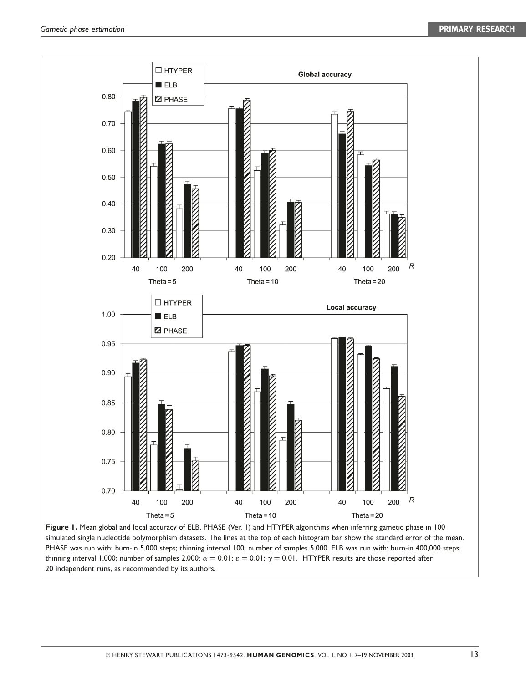

simulated single nucleotide polymorphism datasets. The lines at the top of each histogram bar show the standard error of the mean. PHASE was run with: burn-in 5,000 steps; thinning interval 100; number of samples 5,000. ELB was run with: burn-in 400,000 steps; thinning interval 1,000; number of samples 2,000;  $\alpha = 0.01$ ;  $\epsilon = 0.01$ ;  $\gamma = 0.01$ . HTYPER results are those reported after 20 independent runs, as recommended by its authors.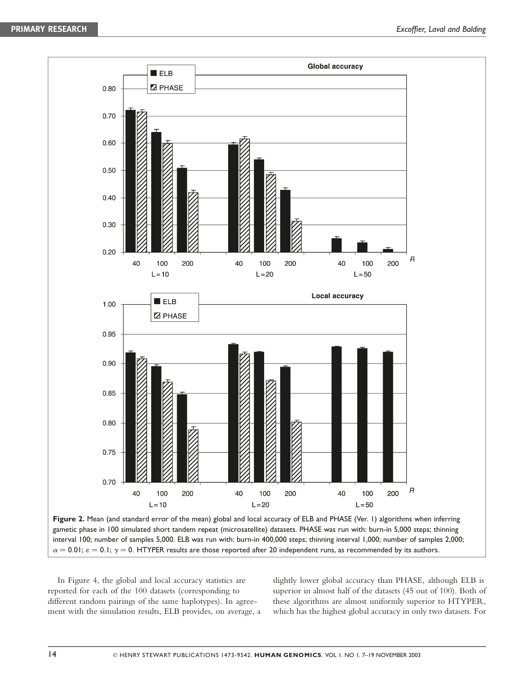

gametic phase in 100 simulated short tandem repeat (microsatellite) datasets. PHASE was run with: burn-in 5,000 steps; thinning interval 100; number of samples 5,000. ELB was run with: burn-in 400,000 steps; thinning interval 1,000; number of samples 2,000;  $\alpha = 0.01$ ;  $\varepsilon = 0.1$ ;  $\gamma = 0$ . HTYPER results are those reported after 20 independent runs, as recommended by its authors.

In Figure 4, the global and local accuracy statistics are reported for each of the 100 datasets (corresponding to different random pairings of the same haplotypes). In agreement with the simulation results, ELB provides, on average, a slightly lower global accuracy than PHASE, although ELB is superior in almost half of the datasets (45 out of 100). Both of these algorithms are almost uniformly superior to HTYPER, which has the highest global accuracy in only two datasets. For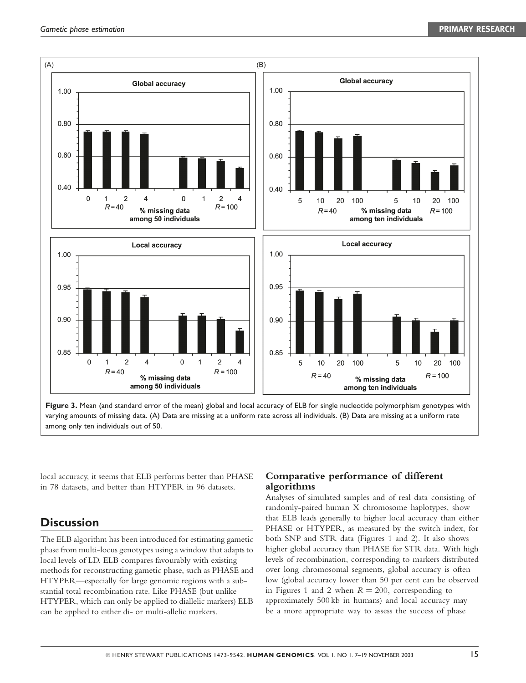

Figure 3. Mean (and standard error of the mean) global and local accuracy of ELB for single nucleotide polymorphism genotypes with varying amounts of missing data. (A) Data are missing at a uniform rate across all individuals. (B) Data are missing at a uniform rate among only ten individuals out of 50.

local accuracy, it seems that ELB performs better than PHASE in 78 datasets, and better than HTYPER in 96 datasets.

# **Discussion**

The ELB algorithm has been introduced for estimating gametic phase from multi-locus genotypes using a window that adapts to local levels of LD. ELB compares favourably with existing methods for reconstructing gametic phase, such as PHASE and HTYPER—especially for large genomic regions with a substantial total recombination rate. Like PHASE (but unlike HTYPER, which can only be applied to diallelic markers) ELB can be applied to either di- or multi-allelic markers.

# Comparative performance of different algorithms

Analyses of simulated samples and of real data consisting of randomly-paired human X chromosome haplotypes, show that ELB leads generally to higher local accuracy than either PHASE or HTYPER, as measured by the switch index, for both SNP and STR data (Figures 1 and 2). It also shows higher global accuracy than PHASE for STR data. With high levels of recombination, corresponding to markers distributed over long chromosomal segments, global accuracy is often low (global accuracy lower than 50 per cent can be observed in Figures 1 and 2 when  $R = 200$ , corresponding to approximately 500 kb in humans) and local accuracy may be a more appropriate way to assess the success of phase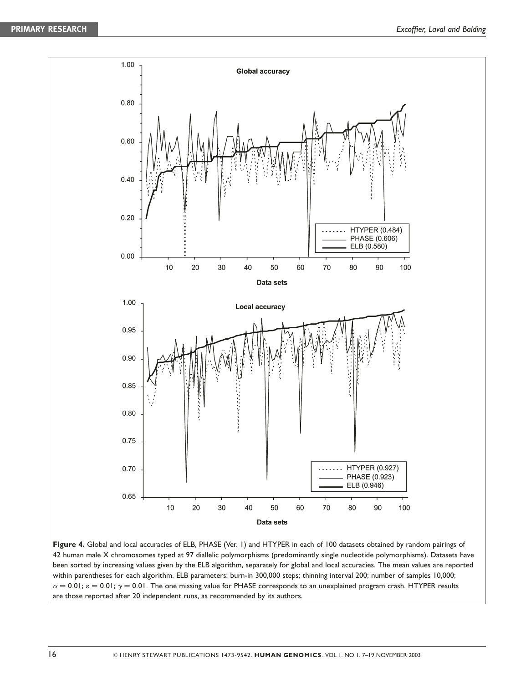

Figure 4. Global and local accuracies of ELB, PHASE (Ver. 1) and HTYPER in each of 100 datasets obtained by random pairings of 42 human male X chromosomes typed at 97 diallelic polymorphisms (predominantly single nucleotide polymorphisms). Datasets have been sorted by increasing values given by the ELB algorithm, separately for global and local accuracies. The mean values are reported within parentheses for each algorithm. ELB parameters: burn-in 300,000 steps; thinning interval 200; number of samples 10,000;  $\alpha = 0.01$ ;  $\epsilon = 0.01$ ;  $\gamma = 0.01$ . The one missing value for PHASE corresponds to an unexplained program crash. HTYPER results are those reported after 20 independent runs, as recommended by its authors.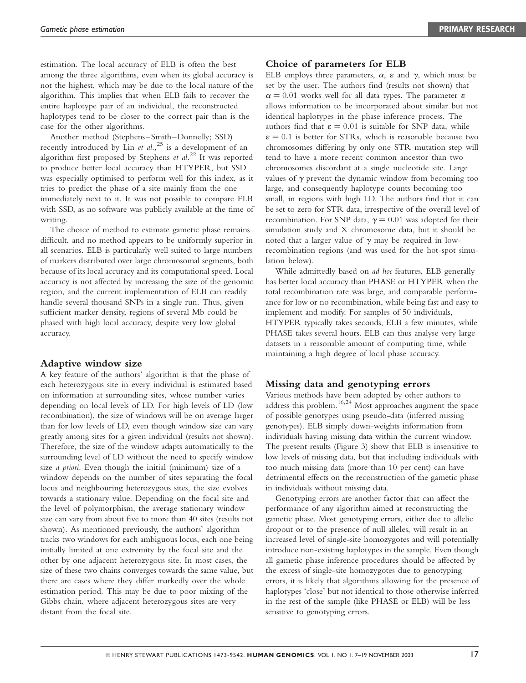estimation. The local accuracy of ELB is often the best among the three algorithms, even when its global accuracy is not the highest, which may be due to the local nature of the algorithm. This implies that when ELB fails to recover the entire haplotype pair of an individual, the reconstructed haplotypes tend to be closer to the correct pair than is the case for the other algorithms.

Another method (Stephens–Smith–Donnelly; SSD) recently introduced by Lin et  $al.^{25}$  is a development of an algorithm first proposed by Stephens et  $al.^{22}$  It was reported to produce better local accuracy than HTYPER, but SSD was especially optimised to perform well for this index, as it tries to predict the phase of a site mainly from the one immediately next to it. It was not possible to compare ELB with SSD, as no software was publicly available at the time of writing.

The choice of method to estimate gametic phase remains difficult, and no method appears to be uniformly superior in all scenarios. ELB is particularly well suited to large numbers of markers distributed over large chromosomal segments, both because of its local accuracy and its computational speed. Local accuracy is not affected by increasing the size of the genomic region, and the current implementation of ELB can readily handle several thousand SNPs in a single run. Thus, given sufficient marker density, regions of several Mb could be phased with high local accuracy, despite very low global accuracy.

## Adaptive window size

A key feature of the authors' algorithm is that the phase of each heterozygous site in every individual is estimated based on information at surrounding sites, whose number varies depending on local levels of LD. For high levels of LD (low recombination), the size of windows will be on average larger than for low levels of LD, even though window size can vary greatly among sites for a given individual (results not shown). Therefore, the size of the window adapts automatically to the surrounding level of LD without the need to specify window size a priori. Even though the initial (minimum) size of a window depends on the number of sites separating the focal locus and neighbouring heterozygous sites, the size evolves towards a stationary value. Depending on the focal site and the level of polymorphism, the average stationary window size can vary from about five to more than 40 sites (results not shown). As mentioned previously, the authors' algorithm tracks two windows for each ambiguous locus, each one being initially limited at one extremity by the focal site and the other by one adjacent heterozygous site. In most cases, the size of these two chains converges towards the same value, but there are cases where they differ markedly over the whole estimation period. This may be due to poor mixing of the Gibbs chain, where adjacent heterozygous sites are very distant from the focal site.

## Choice of parameters for ELB

ELB employs three parameters,  $\alpha$ ,  $\varepsilon$  and  $\gamma$ , which must be set by the user. The authors find (results not shown) that  $\alpha = 0.01$  works well for all data types. The parameter  $\varepsilon$ allows information to be incorporated about similar but not identical haplotypes in the phase inference process. The authors find that  $\epsilon = 0.01$  is suitable for SNP data, while  $\epsilon = 0.1$  is better for STRs, which is reasonable because two chromosomes differing by only one STR mutation step will tend to have a more recent common ancestor than two chromosomes discordant at a single nucleotide site. Large values of  $\gamma$  prevent the dynamic window from becoming too large, and consequently haplotype counts becoming too small, in regions with high LD. The authors find that it can be set to zero for STR data, irrespective of the overall level of recombination. For SNP data,  $\gamma = 0.01$  was adopted for their simulation study and X chromosome data, but it should be noted that a larger value of  $\gamma$  may be required in lowrecombination regions (and was used for the hot-spot simulation below).

While admittedly based on *ad hoc* features, ELB generally has better local accuracy than PHASE or HTYPER when the total recombination rate was large, and comparable performance for low or no recombination, while being fast and easy to implement and modify. For samples of 50 individuals, HTYPER typically takes seconds, ELB a few minutes, while PHASE takes several hours. ELB can thus analyse very large datasets in a reasonable amount of computing time, while maintaining a high degree of local phase accuracy.

## Missing data and genotyping errors

Various methods have been adopted by other authors to address this problem.16,24 Most approaches augment the space of possible genotypes using pseudo-data (inferred missing genotypes). ELB simply down-weights information from individuals having missing data within the current window. The present results (Figure 3) show that ELB is insensitive to low levels of missing data, but that including individuals with too much missing data (more than 10 per cent) can have detrimental effects on the reconstruction of the gametic phase in individuals without missing data.

Genotyping errors are another factor that can affect the performance of any algorithm aimed at reconstructing the gametic phase. Most genotyping errors, either due to allelic dropout or to the presence of null alleles, will result in an increased level of single-site homozygotes and will potentially introduce non-existing haplotypes in the sample. Even though all gametic phase inference procedures should be affected by the excess of single-site homozygotes due to genotyping errors, it is likely that algorithms allowing for the presence of haplotypes 'close' but not identical to those otherwise inferred in the rest of the sample (like PHASE or ELB) will be less sensitive to genotyping errors.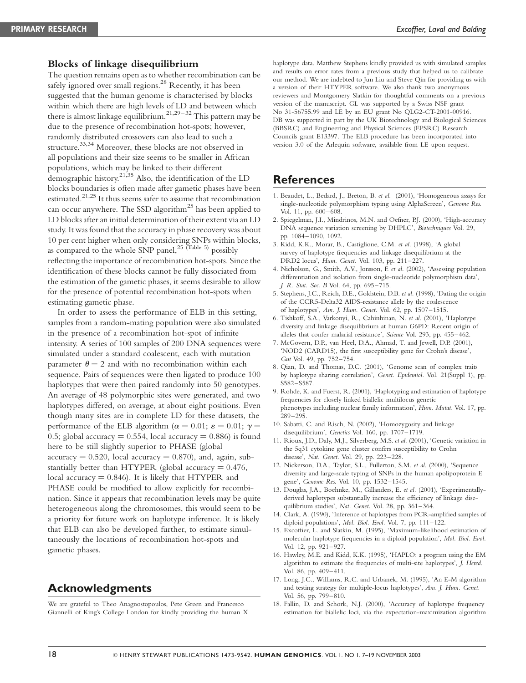## Blocks of linkage disequilibrium

The question remains open as to whether recombination can be safely ignored over small regions.<sup>28</sup> Recently, it has been suggested that the human genome is characterised by blocks within which there are high levels of LD and between which there is almost linkage equilibrium.<sup>21,29–32</sup> This pattern may be due to the presence of recombination hot-spots; however, randomly distributed crossovers can also lead to such a structure.<sup>33,34</sup> Moreover, these blocks are not observed in all populations and their size seems to be smaller in African populations, which may be linked to their different demographic history.<sup>21,35</sup> Also, the identification of the LD blocks boundaries is often made after gametic phases have been estimated.<sup>21,25</sup> It thus seems safer to assume that recombination can occur anywhere. The SSD algorithm<sup>25</sup> has been applied to LD blocks after an initial determination of their extent via an LD study. It was found that the accuracy in phase recovery was about 10 per cent higher when only considering SNPs within blocks, as compared to the whole SNP panel,  $^{25}$  (Table 5) possibly reflecting the importance of recombination hot-spots. Since the identification of these blocks cannot be fully dissociated from the estimation of the gametic phases, it seems desirable to allow for the presence of potential recombination hot-spots when estimating gametic phase.

In order to assess the performance of ELB in this setting, samples from a random-mating population were also simulated in the presence of a recombination hot-spot of infinite intensity. A series of 100 samples of 200 DNA sequences were simulated under a standard coalescent, each with mutation parameter  $\theta = 2$  and with no recombination within each sequence. Pairs of sequences were then ligated to produce 100 haplotypes that were then paired randomly into 50 genotypes. An average of 48 polymorphic sites were generated, and two haplotypes differed, on average, at about eight positions. Even though many sites are in complete LD for these datasets, the performance of the ELB algorithm ( $\alpha = 0.01$ ;  $\epsilon = 0.01$ ;  $\gamma =$ 0.5; global accuracy  $= 0.554$ , local accuracy  $= 0.886$ ) is found here to be still slightly superior to PHASE (global accuracy  $= 0.520$ , local accuracy  $= 0.870$ ), and, again, substantially better than HTYPER (global accuracy  $= 0.476$ , local accuracy  $= 0.846$ ). It is likely that HTYPER and PHASE could be modified to allow explicitly for recombination. Since it appears that recombination levels may be quite heterogeneous along the chromosomes, this would seem to be a priority for future work on haplotype inference. It is likely that ELB can also be developed further, to estimate simultaneously the locations of recombination hot-spots and gametic phases.

# Acknowledgments

We are grateful to Theo Anagnostopoulos, Pete Green and Francesco Giannelli of King's College London for kindly providing the human X haplotype data. Matthew Stephens kindly provided us with simulated samples and results on error rates from a previous study that helped us to calibrate our method. We are indebted to Jun Liu and Steve Qin for providing us with a version of their HTYPER software. We also thank two anonymous reviewers and Montgomery Slatkin for thoughtful comments on a previous version of the manuscript. GL was supported by a Swiss NSF grant No 31-56755.99 and LE by an EU grant No QLG2-CT-2001-00916. DB was supported in part by the UK Biotechnology and Biological Sciences (BBSRC) and Engineering and Physical Sciences (EPSRC) Research Councils grant E13397. The ELB procedure has been incorporated into version 3.0 of the Arlequin software, available from LE upon request.

# References

- 1. Beaudet, L., Bedard, J., Breton, B. et al. (2001), 'Homogeneous assays for single-nucleotide polymorphism typing using AlphaScreen', Genome Res. Vol. 11, pp. 600–608.
- 2. Spiegelman, J.I., Mindrinos, M.N. and Oefner, P.J. (2000), 'High-accuracy DNA sequence variation screening by DHPLC', Biotechniques Vol. 29, pp. 1084–1090, 1092.
- 3. Kidd, K.K., Morar, B., Castiglione, C.M. et al. (1998), 'A global survey of haplotype frequencies and linkage disequilibrium at the DRD2 locus', Hum. Genet. Vol. 103, pp. 211–227.
- 4. Nicholson, G., Smith, A.V., Jonsson, F. et al. (2002), 'Assessing population differentiation and isolation from single-nucleotide polymorphism data', J. R. Stat. Soc. B Vol. 64, pp. 695–715.
- 5. Stephens, J.C., Reich, D.E., Goldstein, D.B. et al. (1998), 'Dating the origin of the CCR5-Delta32 AIDS-resistance allele by the coalescence of haplotypes', Am. J. Hum. Genet. Vol. 62, pp. 1507–1515.
- 6. Tishkoff, S.A., Varkonyi, R., Cahinhinan, N. et al. (2001), 'Haplotype diversity and linkage disequilibrium at human G6PD: Recent origin of alleles that confer malarial resistance', Science Vol. 293, pp. 455–462.
- 7. McGovern, D.P., van Heel, D.A., Ahmad, T. and Jewell, D.P. (2001), 'NOD2 (CARD15), the first susceptibility gene for Crohn's disease', Gut Vol. 49, pp. 752–754.
- 8. Qian, D. and Thomas, D.C. (2001), 'Genome scan of complex traits by haplotype sharing correlation', Genet. Epidemiol. Vol. 21(Suppl 1), pp. S582–S587.
- 9. Rohde, K. and Fuerst, R. (2001), 'Haplotyping and estimation of haplotype frequencies for closely linked biallelic multilocus genetic phenotypes including nuclear family information', Hum. Mutat. Vol. 17, pp. 289–295.
- 10. Sabatti, C. and Risch, N. (2002), 'Homozygosity and linkage disequilibrium', Genetics Vol. 160, pp. 1707–1719.
- 11. Rioux, J.D., Daly, M.J., Silverberg, M.S. et al. (2001), 'Genetic variation in the 5q31 cytokine gene cluster confers susceptibility to Crohn disease', Nat. Genet. Vol. 29, pp. 223–228.
- 12. Nickerson, D.A., Taylor, S.L., Fullerton, S.M. et al. (2000), 'Sequence diversity and large-scale typing of SNPs in the human apolipoprotein E gene', Genome Res. Vol. 10, pp. 1532–1545.
- 13. Douglas, J.A., Boehnke, M., Gillanders, E. et al. (2001), 'Experimentallyderived haplotypes substantially increase the efficiency of linkage disequilibrium studies', Nat. Genet. Vol. 28, pp. 361–364.
- 14. Clark, A. (1990), 'Inference of haplotypes from PCR-amplified samples of diploid populations', Mol. Biol. Evol. Vol. 7, pp. 111–122.
- 15. Excoffier, L. and Slatkin, M. (1995), 'Maximum-likelihood estimation of molecular haplotype frequencies in a diploid population', Mol. Biol. Evol. Vol. 12, pp. 921–927.
- 16. Hawley, M.E. and Kidd, K.K. (1995), 'HAPLO: a program using the EM algorithm to estimate the frequencies of multi-site haplotypes', J. Hered. Vol. 86, pp. 409–411.
- 17. Long, J.C., Williams, R.C. and Urbanek, M. (1995), 'An E-M algorithm and testing strategy for multiple-locus haplotypes', Am. J. Hum. Genet. Vol. 56, pp. 799–810.
- 18. Fallin, D. and Schork, N.J. (2000), 'Accuracy of haplotype frequency estimation for biallelic loci, via the expectation-maximization algorithm